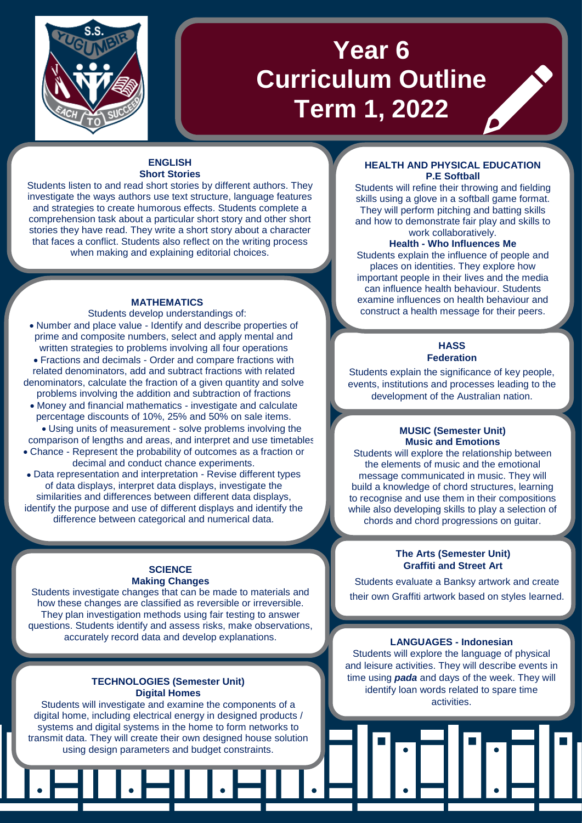

# **Year 6 Curriculum Outline Term 1, 2022**

#### **ENGLISH Short Stories**

Students listen to and read short stories by different authors. They investigate the ways authors use text structure, language features and strategies to create humorous effects. Students complete a comprehension task about a particular short story and other short stories they have read. They write a short story about a character that faces a conflict. Students also reflect on the writing process when making and explaining editorial choices.

#### **MATHEMATICS**

Students develop understandings of: • Number and place value - Identify and describe properties of

- prime and composite numbers, select and apply mental and written strategies to problems involving all four operations
- Fractions and decimals Order and compare fractions with related denominators, add and subtract fractions with related denominators, calculate the fraction of a given quantity and solve
- problems involving the addition and subtraction of fractions • Money and financial mathematics - investigate and calculate percentage discounts of 10%, 25% and 50% on sale items. • Using units of measurement - solve problems involving the comparison of lengths and areas, and interpret and use timetables
- Chance Represent the probability of outcomes as a fraction or decimal and conduct chance experiments.
- Data representation and interpretation Revise different types of data displays, interpret data displays, investigate the similarities and differences between different data displays, identify the purpose and use of different displays and identify the difference between categorical and numerical data.

# **SCIENCE Making Changes**

Students investigate changes that can be made to materials and how these changes are classified as reversible or irreversible. They plan investigation methods using fair testing to answer questions. Students identify and assess risks, make observations, accurately record data and develop explanations.

#### **TECHNOLOGIES (Semester Unit) Digital Homes**

Students will investigate and examine the components of a digital home, including electrical energy in designed products / systems and digital systems in the home to form networks to transmit data. They will create their own designed house solution using design parameters and budget constraints.

# **HEALTH AND PHYSICAL EDUCATION P.E Softball**

Students will refine their throwing and fielding skills using a glove in a softball game format. They will perform pitching and batting skills and how to demonstrate fair play and skills to work collaboratively.

# **Health - Who Influences Me**

Students explain the influence of people and places on identities. They explore how important people in their lives and the media can influence health behaviour. Students examine influences on health behaviour and construct a health message for their peers.

#### **HASS Federation**

Students explain the significance of key people. events, institutions and processes leading to the development of the Australian nation.

#### **MUSIC (Semester Unit) Music and Emotions**

Students will explore the relationship between the elements of music and the emotional message communicated in music. They will build a knowledge of chord structures, learning to recognise and use them in their compositions while also developing skills to play a selection of chords and chord progressions on guitar.

# **The Arts (Semester Unit) Graffiti and Street Art**

• Students evaluate a Banksy artwork and create their own Graffiti artwork based on styles learned.

Graffiti artwork based on styles learned.

# **LANGUAGES - Indonesian**

Students will explore the language of physical and leisure activities. They will describe events in time using *pada* and days of the week. They will identify loan words related to spare time activities.